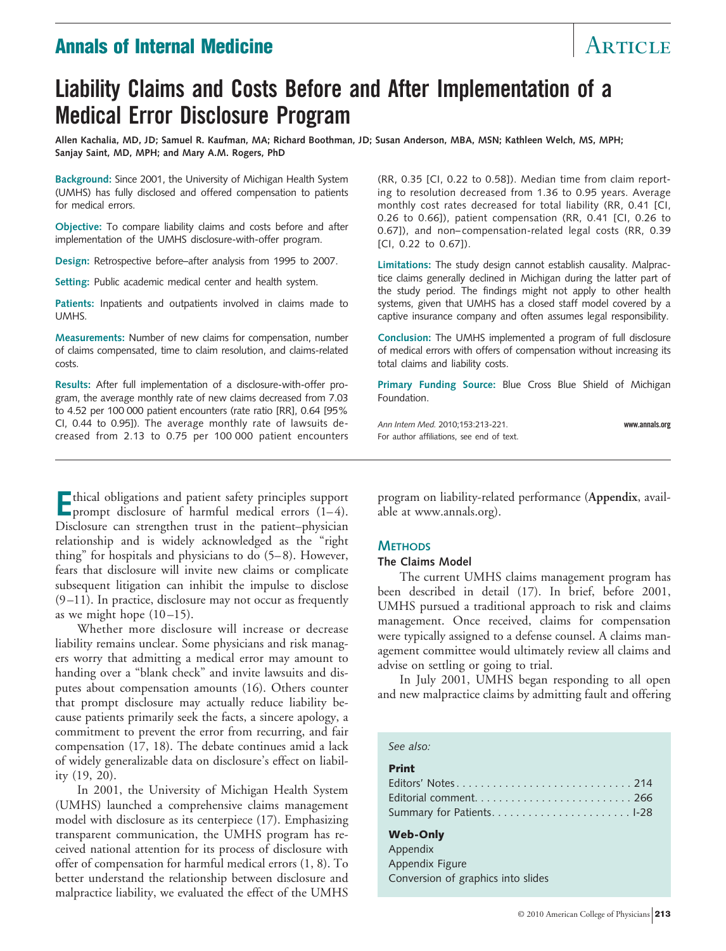# Annals of Internal Medicine Article Article Article

# **Liability Claims and Costs Before and After Implementation of a Medical Error Disclosure Program**

**Allen Kachalia, MD, JD; Samuel R. Kaufman, MA; Richard Boothman, JD; Susan Anderson, MBA, MSN; Kathleen Welch, MS, MPH; Sanjay Saint, MD, MPH; and Mary A.M. Rogers, PhD**

**Background:** Since 2001, the University of Michigan Health System (UMHS) has fully disclosed and offered compensation to patients for medical errors.

**Objective:** To compare liability claims and costs before and after implementation of the UMHS disclosure-with-offer program.

**Design:** Retrospective before–after analysis from 1995 to 2007.

**Setting:** Public academic medical center and health system.

**Patients:** Inpatients and outpatients involved in claims made to UMHS.

**Measurements:** Number of new claims for compensation, number of claims compensated, time to claim resolution, and claims-related costs.

**Results:** After full implementation of a disclosure-with-offer program, the average monthly rate of new claims decreased from 7.03 to 4.52 per 100 000 patient encounters (rate ratio [RR], 0.64 [95% CI, 0.44 to 0.95]). The average monthly rate of lawsuits decreased from 2.13 to 0.75 per 100 000 patient encounters (RR, 0.35 [CI, 0.22 to 0.58]). Median time from claim reporting to resolution decreased from 1.36 to 0.95 years. Average monthly cost rates decreased for total liability (RR, 0.41 [CI, 0.26 to 0.66]), patient compensation (RR, 0.41 [CI, 0.26 to 0.67]), and non–compensation-related legal costs (RR, 0.39 [CI, 0.22 to 0.67]).

**Limitations:** The study design cannot establish causality. Malpractice claims generally declined in Michigan during the latter part of the study period. The findings might not apply to other health systems, given that UMHS has a closed staff model covered by a captive insurance company and often assumes legal responsibility.

**Conclusion:** The UMHS implemented a program of full disclosure of medical errors with offers of compensation without increasing its total claims and liability costs.

**Primary Funding Source:** Blue Cross Blue Shield of Michigan Foundation.

*Ann Intern Med.* 2010;153:213-221. **www.annals.org** For author affiliations, see end of text.

**E**thical obligations and patient safety principles support<br>prompt disclosure of harmful medical errors (1–4). Disclosure can strengthen trust in the patient–physician relationship and is widely acknowledged as the "right thing" for hospitals and physicians to do (5– 8). However, fears that disclosure will invite new claims or complicate subsequent litigation can inhibit the impulse to disclose  $(9-11)$ . In practice, disclosure may not occur as frequently as we might hope  $(10-15)$ .

Whether more disclosure will increase or decrease liability remains unclear. Some physicians and risk managers worry that admitting a medical error may amount to handing over a "blank check" and invite lawsuits and disputes about compensation amounts (16). Others counter that prompt disclosure may actually reduce liability because patients primarily seek the facts, a sincere apology, a commitment to prevent the error from recurring, and fair compensation (17, 18). The debate continues amid a lack of widely generalizable data on disclosure's effect on liability (19, 20).

In 2001, the University of Michigan Health System (UMHS) launched a comprehensive claims management model with disclosure as its centerpiece (17). Emphasizing transparent communication, the UMHS program has received national attention for its process of disclosure with offer of compensation for harmful medical errors (1, 8). To better understand the relationship between disclosure and malpractice liability, we evaluated the effect of the UMHS

program on liability-related performance (**Appendix**, available at www.annals.org).

# **METHODS**

#### **The Claims Model**

The current UMHS claims management program has been described in detail (17). In brief, before 2001, UMHS pursued a traditional approach to risk and claims management. Once received, claims for compensation were typically assigned to a defense counsel. A claims management committee would ultimately review all claims and advise on settling or going to trial.

In July 2001, UMHS began responding to all open and new malpractice claims by admitting fault and offering

#### *See also:*

#### Print

#### Web-Only

Appendix Appendix Figure Conversion of graphics into slides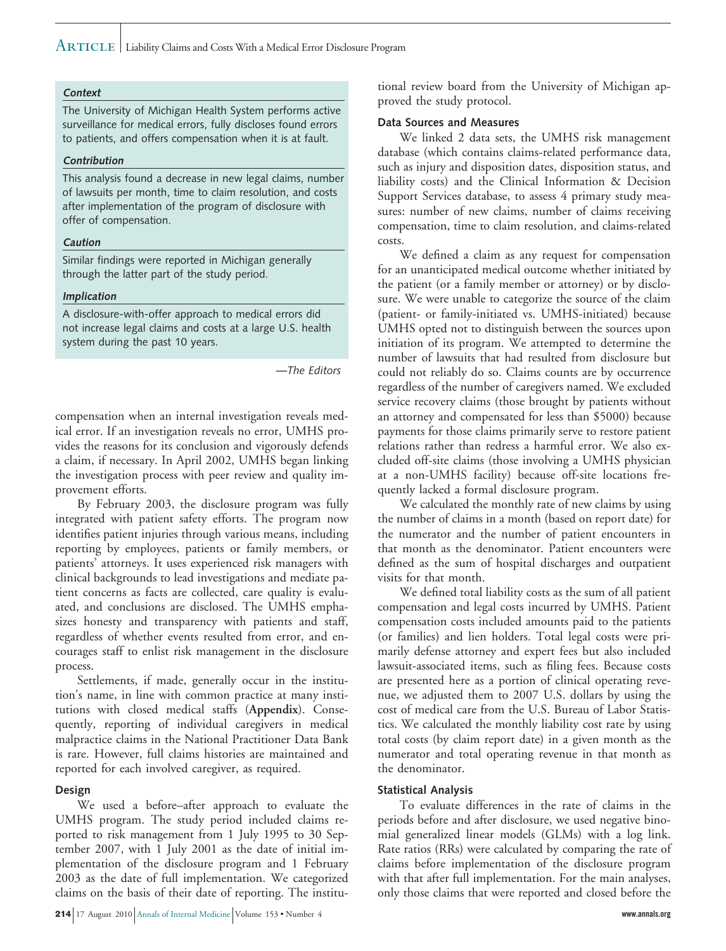# $\rm ARTICLE \,|\,$  Liability Claims and Costs With a Medical Error Disclosure Program

#### **Context**

The University of Michigan Health System performs active surveillance for medical errors, fully discloses found errors to patients, and offers compensation when it is at fault.

#### **Contribution**

This analysis found a decrease in new legal claims, number of lawsuits per month, time to claim resolution, and costs after implementation of the program of disclosure with offer of compensation.

#### **Caution**

Similar findings were reported in Michigan generally through the latter part of the study period.

#### **Implication**

A disclosure-with-offer approach to medical errors did not increase legal claims and costs at a large U.S. health system during the past 10 years.

*—The Editors*

compensation when an internal investigation reveals medical error. If an investigation reveals no error, UMHS provides the reasons for its conclusion and vigorously defends a claim, if necessary. In April 2002, UMHS began linking the investigation process with peer review and quality improvement efforts.

By February 2003, the disclosure program was fully integrated with patient safety efforts. The program now identifies patient injuries through various means, including reporting by employees, patients or family members, or patients' attorneys. It uses experienced risk managers with clinical backgrounds to lead investigations and mediate patient concerns as facts are collected, care quality is evaluated, and conclusions are disclosed. The UMHS emphasizes honesty and transparency with patients and staff, regardless of whether events resulted from error, and encourages staff to enlist risk management in the disclosure process.

Settlements, if made, generally occur in the institution's name, in line with common practice at many institutions with closed medical staffs (**Appendix**). Consequently, reporting of individual caregivers in medical malpractice claims in the National Practitioner Data Bank is rare. However, full claims histories are maintained and reported for each involved caregiver, as required.

#### **Design**

We used a before–after approach to evaluate the UMHS program. The study period included claims reported to risk management from 1 July 1995 to 30 September 2007, with 1 July 2001 as the date of initial implementation of the disclosure program and 1 February 2003 as the date of full implementation. We categorized claims on the basis of their date of reporting. The institutional review board from the University of Michigan approved the study protocol.

#### **Data Sources and Measures**

We linked 2 data sets, the UMHS risk management database (which contains claims-related performance data, such as injury and disposition dates, disposition status, and liability costs) and the Clinical Information & Decision Support Services database, to assess 4 primary study measures: number of new claims, number of claims receiving compensation, time to claim resolution, and claims-related costs.

We defined a claim as any request for compensation for an unanticipated medical outcome whether initiated by the patient (or a family member or attorney) or by disclosure. We were unable to categorize the source of the claim (patient- or family-initiated vs. UMHS-initiated) because UMHS opted not to distinguish between the sources upon initiation of its program. We attempted to determine the number of lawsuits that had resulted from disclosure but could not reliably do so. Claims counts are by occurrence regardless of the number of caregivers named. We excluded service recovery claims (those brought by patients without an attorney and compensated for less than \$5000) because payments for those claims primarily serve to restore patient relations rather than redress a harmful error. We also excluded off-site claims (those involving a UMHS physician at a non-UMHS facility) because off-site locations frequently lacked a formal disclosure program.

We calculated the monthly rate of new claims by using the number of claims in a month (based on report date) for the numerator and the number of patient encounters in that month as the denominator. Patient encounters were defined as the sum of hospital discharges and outpatient visits for that month.

We defined total liability costs as the sum of all patient compensation and legal costs incurred by UMHS. Patient compensation costs included amounts paid to the patients (or families) and lien holders. Total legal costs were primarily defense attorney and expert fees but also included lawsuit-associated items, such as filing fees. Because costs are presented here as a portion of clinical operating revenue, we adjusted them to 2007 U.S. dollars by using the cost of medical care from the U.S. Bureau of Labor Statistics. We calculated the monthly liability cost rate by using total costs (by claim report date) in a given month as the numerator and total operating revenue in that month as the denominator.

#### **Statistical Analysis**

To evaluate differences in the rate of claims in the periods before and after disclosure, we used negative binomial generalized linear models (GLMs) with a log link. Rate ratios (RRs) were calculated by comparing the rate of claims before implementation of the disclosure program with that after full implementation. For the main analyses, only those claims that were reported and closed before the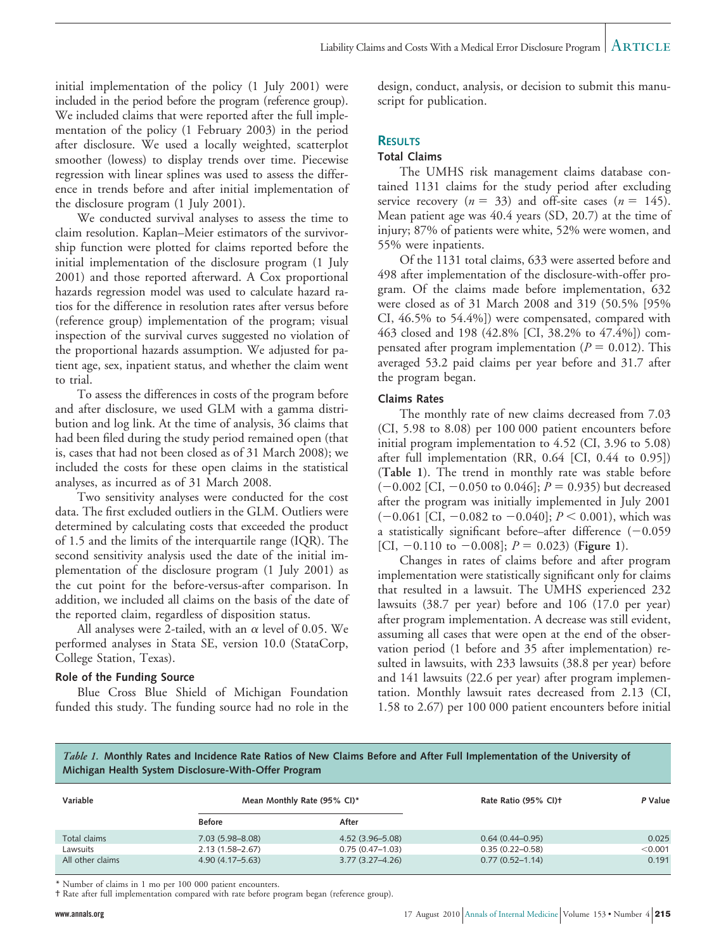initial implementation of the policy (1 July 2001) were included in the period before the program (reference group). We included claims that were reported after the full implementation of the policy (1 February 2003) in the period after disclosure. We used a locally weighted, scatterplot smoother (lowess) to display trends over time. Piecewise regression with linear splines was used to assess the difference in trends before and after initial implementation of the disclosure program (1 July 2001).

We conducted survival analyses to assess the time to claim resolution. Kaplan–Meier estimators of the survivorship function were plotted for claims reported before the initial implementation of the disclosure program (1 July 2001) and those reported afterward. A Cox proportional hazards regression model was used to calculate hazard ratios for the difference in resolution rates after versus before (reference group) implementation of the program; visual inspection of the survival curves suggested no violation of the proportional hazards assumption. We adjusted for patient age, sex, inpatient status, and whether the claim went to trial.

To assess the differences in costs of the program before and after disclosure, we used GLM with a gamma distribution and log link. At the time of analysis, 36 claims that had been filed during the study period remained open (that is, cases that had not been closed as of 31 March 2008); we included the costs for these open claims in the statistical analyses, as incurred as of 31 March 2008.

Two sensitivity analyses were conducted for the cost data. The first excluded outliers in the GLM. Outliers were determined by calculating costs that exceeded the product of 1.5 and the limits of the interquartile range (IQR). The second sensitivity analysis used the date of the initial implementation of the disclosure program (1 July 2001) as the cut point for the before-versus-after comparison. In addition, we included all claims on the basis of the date of the reported claim, regardless of disposition status.

All analyses were 2-tailed, with an  $\alpha$  level of 0.05. We performed analyses in Stata SE, version 10.0 (StataCorp, College Station, Texas).

## **Role of the Funding Source**

Blue Cross Blue Shield of Michigan Foundation funded this study. The funding source had no role in the design, conduct, analysis, or decision to submit this manuscript for publication.

# **RESULTS**

## **Total Claims**

The UMHS risk management claims database contained 1131 claims for the study period after excluding service recovery  $(n = 33)$  and off-site cases  $(n = 145)$ . Mean patient age was 40.4 years (SD, 20.7) at the time of injury; 87% of patients were white, 52% were women, and 55% were inpatients.

Of the 1131 total claims, 633 were asserted before and 498 after implementation of the disclosure-with-offer program. Of the claims made before implementation, 632 were closed as of 31 March 2008 and 319 (50.5% [95% CI, 46.5% to 54.4%]) were compensated, compared with 463 closed and 198 (42.8% [CI, 38.2% to 47.4%]) compensated after program implementation ( $P = 0.012$ ). This averaged 53.2 paid claims per year before and 31.7 after the program began.

#### **Claims Rates**

The monthly rate of new claims decreased from 7.03 (CI, 5.98 to 8.08) per 100 000 patient encounters before initial program implementation to 4.52 (CI, 3.96 to 5.08) after full implementation (RR, 0.64 [CI, 0.44 to 0.95]) (**Table 1**). The trend in monthly rate was stable before  $(-0.002$  [CI,  $-0.050$  to 0.046];  $P = 0.935$ ) but decreased after the program was initially implemented in July 2001  $(-0.061$  [CI,  $-0.082$  to  $-0.040$ ];  $P < 0.001$ ), which was a statistically significant before–after difference  $(-0.059)$ [CI,  $-0.110$  to  $-0.008$ ];  $P = 0.023$ ) (**Figure 1**).

Changes in rates of claims before and after program implementation were statistically significant only for claims that resulted in a lawsuit. The UMHS experienced 232 lawsuits (38.7 per year) before and 106 (17.0 per year) after program implementation. A decrease was still evident, assuming all cases that were open at the end of the observation period (1 before and 35 after implementation) resulted in lawsuits, with 233 lawsuits (38.8 per year) before and 141 lawsuits (22.6 per year) after program implementation. Monthly lawsuit rates decreased from 2.13 (CI, 1.58 to 2.67) per 100 000 patient encounters before initial

*Table 1.* **Monthly Rates and Incidence Rate Ratios of New Claims Before and After Full Implementation of the University of Michigan Health System Disclosure-With-Offer Program**

| Variable         | Mean Monthly Rate (95% CI)* |                     | Rate Ratio (95% CI)+ | P Value |
|------------------|-----------------------------|---------------------|----------------------|---------|
|                  | <b>Before</b>               | After               |                      |         |
| Total claims     | $7.03(5.98 - 8.08)$         | $4.52(3.96 - 5.08)$ | $0.64(0.44-0.95)$    | 0.025   |
| Lawsuits         | $2.13(1.58 - 2.67)$         | $0.75(0.47-1.03)$   | $0.35(0.22 - 0.58)$  | < 0.001 |
| All other claims | $4.90(4.17 - 5.63)$         | $3.77(3.27 - 4.26)$ | $0.77(0.52 - 1.14)$  | 0.191   |

\* Number of claims in 1 mo per 100 000 patient encounters.

† Rate after full implementation compared with rate before program began (reference group).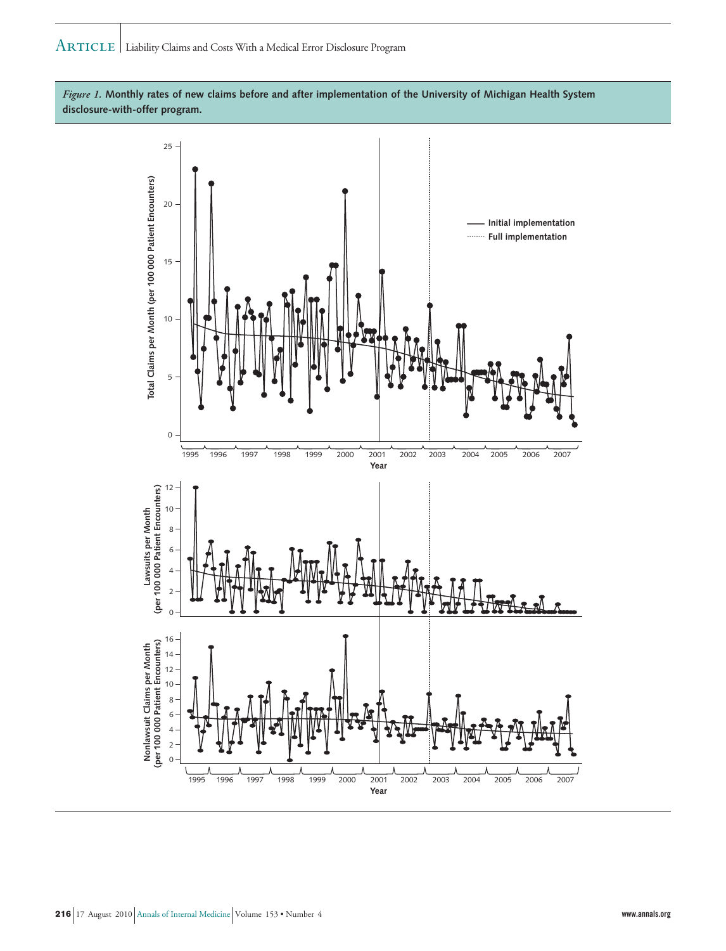

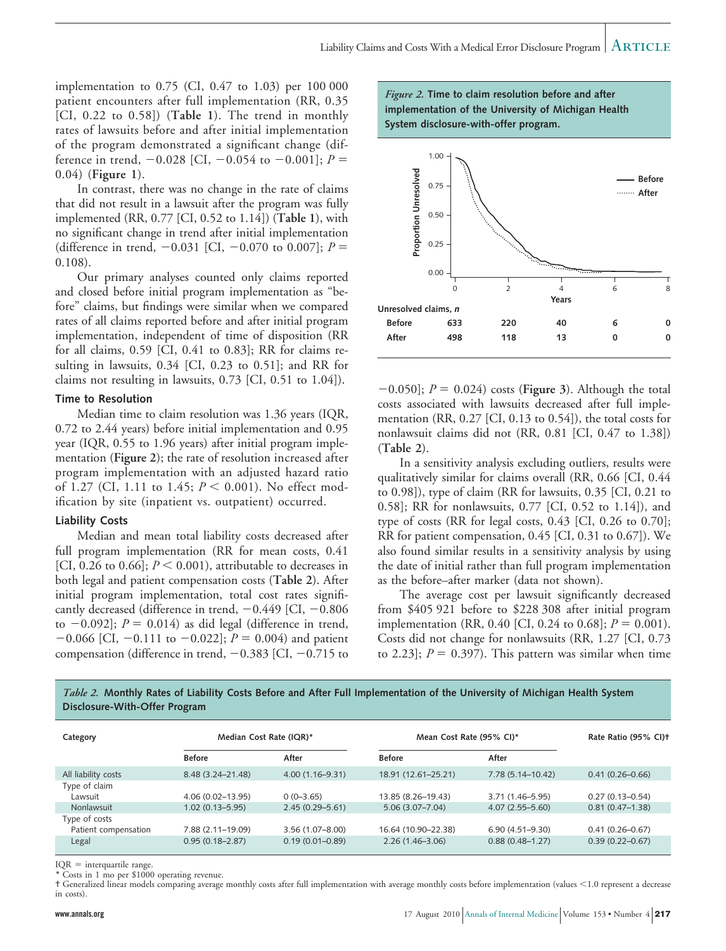implementation to 0.75 (CI, 0.47 to 1.03) per 100 000 patient encounters after full implementation (RR, 0.35 [CI, 0.22 to 0.58]) (**Table 1**). The trend in monthly rates of lawsuits before and after initial implementation of the program demonstrated a significant change (difference in trend,  $-0.028$  [CI,  $-0.054$  to  $-0.001$ ];  $P =$ 0.04) (**Figure 1**).

In contrast, there was no change in the rate of claims that did not result in a lawsuit after the program was fully implemented (RR, 0.77 [CI, 0.52 to 1.14]) (**Table 1**), with no significant change in trend after initial implementation (difference in trend,  $-0.031$  [CI,  $-0.070$  to 0.007];  $P =$ 0.108).

Our primary analyses counted only claims reported and closed before initial program implementation as "before" claims, but findings were similar when we compared rates of all claims reported before and after initial program implementation, independent of time of disposition (RR for all claims, 0.59 [CI, 0.41 to 0.83]; RR for claims resulting in lawsuits, 0.34 [CI, 0.23 to 0.51]; and RR for claims not resulting in lawsuits, 0.73 [CI, 0.51 to 1.04]).

#### **Time to Resolution**

Median time to claim resolution was 1.36 years (IQR, 0.72 to 2.44 years) before initial implementation and 0.95 year (IQR, 0.55 to 1.96 years) after initial program implementation (**Figure 2**); the rate of resolution increased after program implementation with an adjusted hazard ratio of 1.27 (CI, 1.11 to 1.45;  $P \le 0.001$ ). No effect modification by site (inpatient vs. outpatient) occurred.

#### **Liability Costs**

Median and mean total liability costs decreased after full program implementation (RR for mean costs, 0.41 [CI, 0.26 to 0.66];  $P \le 0.001$ ), attributable to decreases in both legal and patient compensation costs (**Table 2**). After initial program implementation, total cost rates significantly decreased (difference in trend,  $-0.449$  [CI,  $-0.806$ to  $-0.092$ ];  $P = 0.014$ ) as did legal (difference in trend,  $-0.066$  [CI,  $-0.111$  to  $-0.022$ ];  $P = 0.004$ ) and patient compensation (difference in trend,  $-0.383$  [CI,  $-0.715$  to





 $[-0.050]$ ;  $P = 0.024$ ) costs (**Figure 3**). Although the total costs associated with lawsuits decreased after full implementation (RR, 0.27 [CI, 0.13 to 0.54]), the total costs for nonlawsuit claims did not (RR, 0.81 [CI, 0.47 to 1.38]) (**Table 2**).

In a sensitivity analysis excluding outliers, results were qualitatively similar for claims overall (RR, 0.66 [CI, 0.44 to 0.98]), type of claim (RR for lawsuits, 0.35 [CI, 0.21 to 0.58]; RR for nonlawsuits, 0.77 [CI, 0.52 to 1.14]), and type of costs (RR for legal costs, 0.43 [CI, 0.26 to 0.70]; RR for patient compensation, 0.45 [CI, 0.31 to 0.67]). We also found similar results in a sensitivity analysis by using the date of initial rather than full program implementation as the before–after marker (data not shown).

The average cost per lawsuit significantly decreased from \$405 921 before to \$228 308 after initial program implementation (RR, 0.40 [CI, 0.24 to 0.68];  $P = 0.001$ ). Costs did not change for nonlawsuits (RR, 1.27 [CI, 0.73 to 2.23];  $P = 0.397$ . This pattern was similar when time



| Category             | Median Cost Rate (IQR)* |                     | Mean Cost Rate (95% CI)* |                     | Rate Ratio (95% CI) <sup>+</sup> |
|----------------------|-------------------------|---------------------|--------------------------|---------------------|----------------------------------|
|                      | <b>Before</b>           | After               | <b>Before</b>            | After               |                                  |
| All liability costs  | 8.48 (3.24-21.48)       | $4.00(1.16 - 9.31)$ | 18.91 (12.61-25.21)      | 7.78 (5.14–10.42)   | $0.41(0.26 - 0.66)$              |
| Type of claim        |                         |                     |                          |                     |                                  |
| Lawsuit              | $4.06(0.02 - 13.95)$    | $0(0-3.65)$         | 13.85 (8.26–19.43)       | 3.71 (1.46–5.95)    | $0.27(0.13 - 0.54)$              |
| Nonlawsuit           | $1.02(0.13 - 5.95)$     | $2.45(0.29 - 5.61)$ | $5.06(3.07 - 7.04)$      | $4.07(2.55 - 5.60)$ | $0.81(0.47-1.38)$                |
| Type of costs        |                         |                     |                          |                     |                                  |
| Patient compensation | 7.88 (2.11–19.09)       | $3.56(1.07 - 8.00)$ | 16.64 (10.90-22.38)      | $6.90(4.51 - 9.30)$ | $0.41(0.26 - 0.67)$              |
| Legal                | $0.95(0.18 - 2.87)$     | $0.19(0.01 - 0.89)$ | $2.26(1.46 - 3.06)$      | $0.88(0.48 - 1.27)$ | $0.39(0.22 - 0.67)$              |

 $IQR =$  interquartile range.

Costs in 1 mo per \$1000 operating revenue.

† Generalized linear models comparing average monthly costs after full implementation with average monthly costs before implementation (values #1.0 represent a decrease in costs).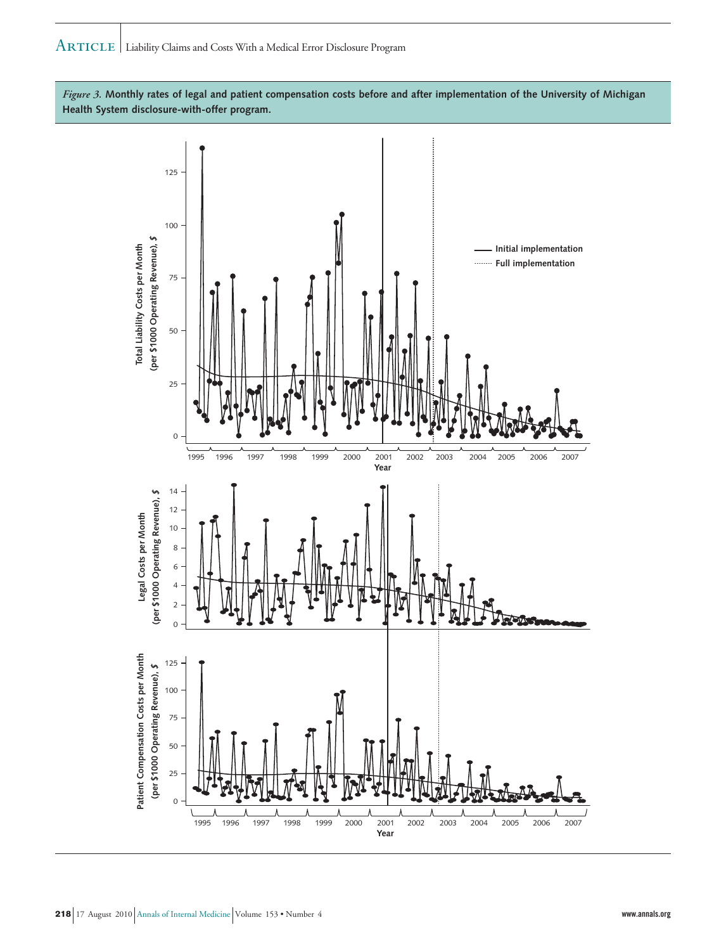*Figure 3.* **Monthly rates of legal and patient compensation costs before and after implementation of the University of Michigan Health System disclosure-with-offer program.**

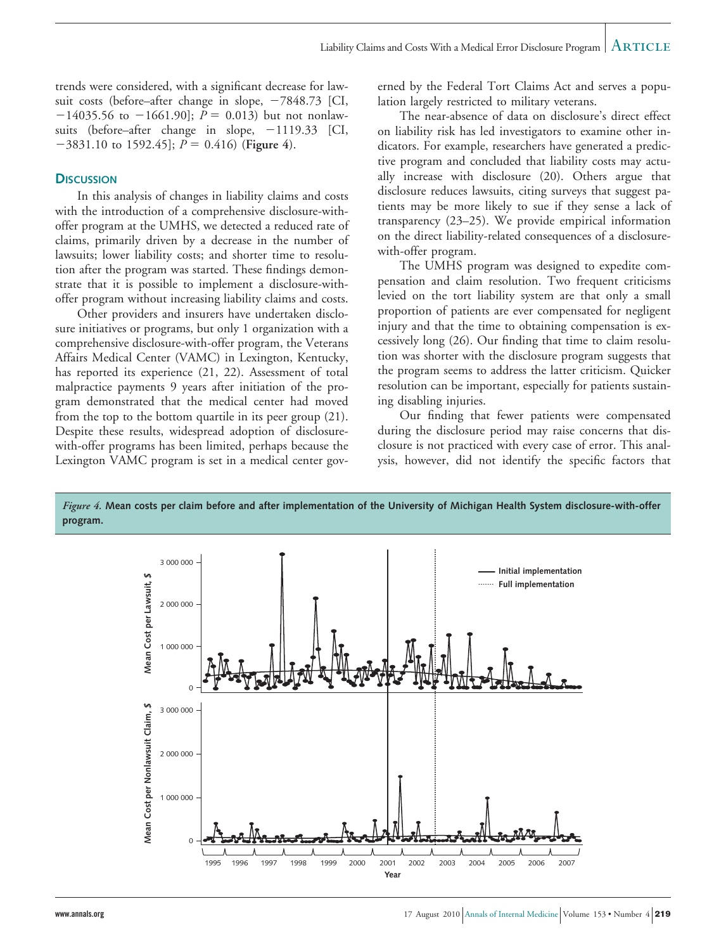trends were considered, with a significant decrease for lawsuit costs (before–after change in slope,  $-7848.73$  [CI,  $-14035.56$  to  $-1661.90$ ;  $P = 0.013$ ) but not nonlawsuits (before-after change in slope, -1119.33 [CI,  $-3831.10$  to 1592.45];  $P = 0.416$  (Figure 4).

#### **DISCUSSION**

In this analysis of changes in liability claims and costs with the introduction of a comprehensive disclosure-withoffer program at the UMHS, we detected a reduced rate of claims, primarily driven by a decrease in the number of lawsuits; lower liability costs; and shorter time to resolution after the program was started. These findings demonstrate that it is possible to implement a disclosure-withoffer program without increasing liability claims and costs.

Other providers and insurers have undertaken disclosure initiatives or programs, but only 1 organization with a comprehensive disclosure-with-offer program, the Veterans Affairs Medical Center (VAMC) in Lexington, Kentucky, has reported its experience (21, 22). Assessment of total malpractice payments 9 years after initiation of the program demonstrated that the medical center had moved from the top to the bottom quartile in its peer group (21). Despite these results, widespread adoption of disclosurewith-offer programs has been limited, perhaps because the Lexington VAMC program is set in a medical center governed by the Federal Tort Claims Act and serves a population largely restricted to military veterans.

The near-absence of data on disclosure's direct effect on liability risk has led investigators to examine other indicators. For example, researchers have generated a predictive program and concluded that liability costs may actually increase with disclosure (20). Others argue that disclosure reduces lawsuits, citing surveys that suggest patients may be more likely to sue if they sense a lack of transparency (23–25). We provide empirical information on the direct liability-related consequences of a disclosurewith-offer program.

The UMHS program was designed to expedite compensation and claim resolution. Two frequent criticisms levied on the tort liability system are that only a small proportion of patients are ever compensated for negligent injury and that the time to obtaining compensation is excessively long (26). Our finding that time to claim resolution was shorter with the disclosure program suggests that the program seems to address the latter criticism. Quicker resolution can be important, especially for patients sustaining disabling injuries.

Our finding that fewer patients were compensated during the disclosure period may raise concerns that disclosure is not practiced with every case of error. This analysis, however, did not identify the specific factors that



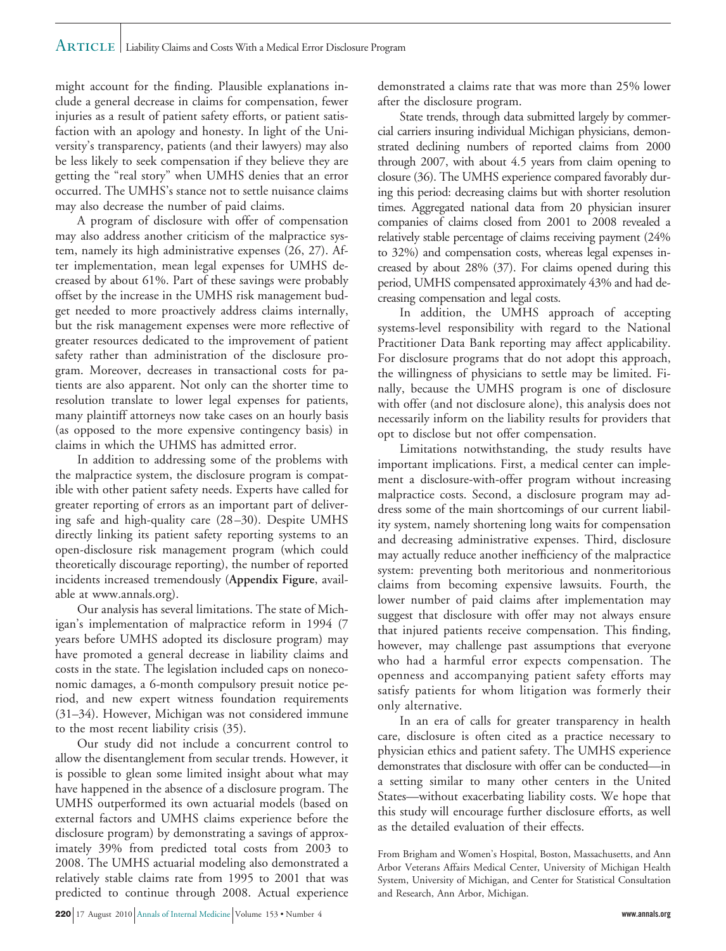# Article Liability Claims and Costs With a Medical Error Disclosure Program

might account for the finding. Plausible explanations include a general decrease in claims for compensation, fewer injuries as a result of patient safety efforts, or patient satisfaction with an apology and honesty. In light of the University's transparency, patients (and their lawyers) may also be less likely to seek compensation if they believe they are getting the "real story" when UMHS denies that an error occurred. The UMHS's stance not to settle nuisance claims may also decrease the number of paid claims.

A program of disclosure with offer of compensation may also address another criticism of the malpractice system, namely its high administrative expenses (26, 27). After implementation, mean legal expenses for UMHS decreased by about 61%. Part of these savings were probably offset by the increase in the UMHS risk management budget needed to more proactively address claims internally, but the risk management expenses were more reflective of greater resources dedicated to the improvement of patient safety rather than administration of the disclosure program. Moreover, decreases in transactional costs for patients are also apparent. Not only can the shorter time to resolution translate to lower legal expenses for patients, many plaintiff attorneys now take cases on an hourly basis (as opposed to the more expensive contingency basis) in claims in which the UHMS has admitted error.

In addition to addressing some of the problems with the malpractice system, the disclosure program is compatible with other patient safety needs. Experts have called for greater reporting of errors as an important part of delivering safe and high-quality care (28 –30). Despite UMHS directly linking its patient safety reporting systems to an open-disclosure risk management program (which could theoretically discourage reporting), the number of reported incidents increased tremendously (**Appendix Figure**, available at www.annals.org).

Our analysis has several limitations. The state of Michigan's implementation of malpractice reform in 1994 (7 years before UMHS adopted its disclosure program) may have promoted a general decrease in liability claims and costs in the state. The legislation included caps on noneconomic damages, a 6-month compulsory presuit notice period, and new expert witness foundation requirements (31–34). However, Michigan was not considered immune to the most recent liability crisis (35).

Our study did not include a concurrent control to allow the disentanglement from secular trends. However, it is possible to glean some limited insight about what may have happened in the absence of a disclosure program. The UMHS outperformed its own actuarial models (based on external factors and UMHS claims experience before the disclosure program) by demonstrating a savings of approximately 39% from predicted total costs from 2003 to 2008. The UMHS actuarial modeling also demonstrated a relatively stable claims rate from 1995 to 2001 that was predicted to continue through 2008. Actual experience

demonstrated a claims rate that was more than 25% lower after the disclosure program.

State trends, through data submitted largely by commercial carriers insuring individual Michigan physicians, demonstrated declining numbers of reported claims from 2000 through 2007, with about 4.5 years from claim opening to closure (36). The UMHS experience compared favorably during this period: decreasing claims but with shorter resolution times. Aggregated national data from 20 physician insurer companies of claims closed from 2001 to 2008 revealed a relatively stable percentage of claims receiving payment (24% to 32%) and compensation costs, whereas legal expenses increased by about 28% (37). For claims opened during this period, UMHS compensated approximately 43% and had decreasing compensation and legal costs.

In addition, the UMHS approach of accepting systems-level responsibility with regard to the National Practitioner Data Bank reporting may affect applicability. For disclosure programs that do not adopt this approach, the willingness of physicians to settle may be limited. Finally, because the UMHS program is one of disclosure with offer (and not disclosure alone), this analysis does not necessarily inform on the liability results for providers that opt to disclose but not offer compensation.

Limitations notwithstanding, the study results have important implications. First, a medical center can implement a disclosure-with-offer program without increasing malpractice costs. Second, a disclosure program may address some of the main shortcomings of our current liability system, namely shortening long waits for compensation and decreasing administrative expenses. Third, disclosure may actually reduce another inefficiency of the malpractice system: preventing both meritorious and nonmeritorious claims from becoming expensive lawsuits. Fourth, the lower number of paid claims after implementation may suggest that disclosure with offer may not always ensure that injured patients receive compensation. This finding, however, may challenge past assumptions that everyone who had a harmful error expects compensation. The openness and accompanying patient safety efforts may satisfy patients for whom litigation was formerly their only alternative.

In an era of calls for greater transparency in health care, disclosure is often cited as a practice necessary to physician ethics and patient safety. The UMHS experience demonstrates that disclosure with offer can be conducted—in a setting similar to many other centers in the United States—without exacerbating liability costs. We hope that this study will encourage further disclosure efforts, as well as the detailed evaluation of their effects.

From Brigham and Women's Hospital, Boston, Massachusetts, and Ann Arbor Veterans Affairs Medical Center, University of Michigan Health System, University of Michigan, and Center for Statistical Consultation and Research, Ann Arbor, Michigan.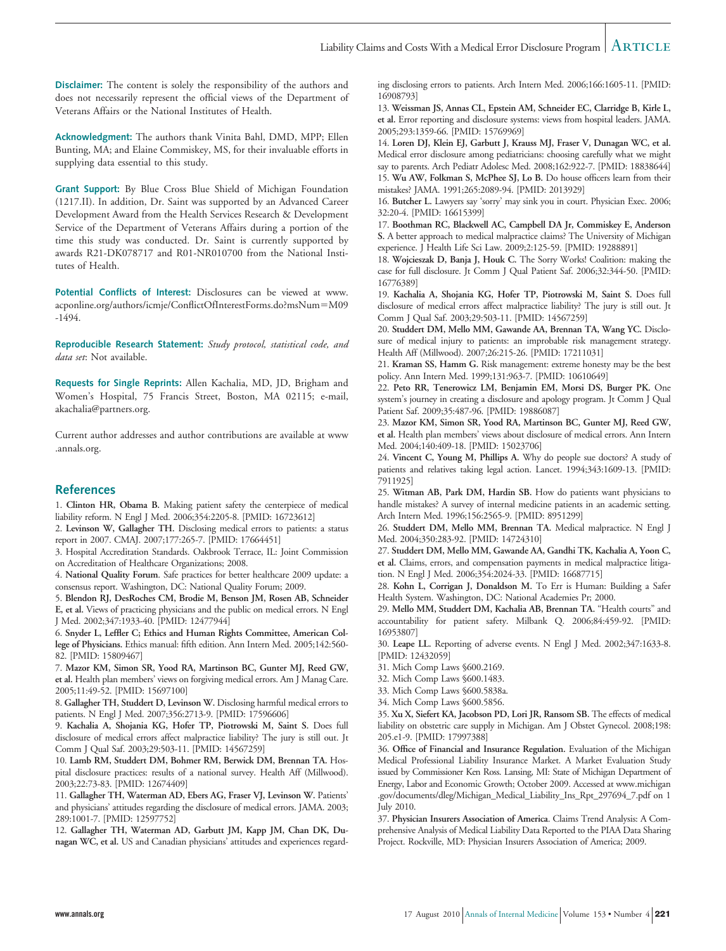**Disclaimer:** The content is solely the responsibility of the authors and does not necessarily represent the official views of the Department of Veterans Affairs or the National Institutes of Health.

**Acknowledgment:** The authors thank Vinita Bahl, DMD, MPP; Ellen Bunting, MA; and Elaine Commiskey, MS, for their invaluable efforts in supplying data essential to this study.

**Grant Support:** By Blue Cross Blue Shield of Michigan Foundation (1217.II). In addition, Dr. Saint was supported by an Advanced Career Development Award from the Health Services Research & Development Service of the Department of Veterans Affairs during a portion of the time this study was conducted. Dr. Saint is currently supported by awards R21-DK078717 and R01-NR010700 from the National Institutes of Health.

**Potential Conflicts of Interest:** Disclosures can be viewed at www. acponline.org/authors/icmje/ConflictOfInterestForms.do?msNum=M09 -1494.

**Reproducible Research Statement:** *Study protocol, statistical code, and data set*: Not available.

**Requests for Single Reprints:** Allen Kachalia, MD, JD, Brigham and Women's Hospital, 75 Francis Street, Boston, MA 02115; e-mail, akachalia@partners.org.

Current author addresses and author contributions are available at www .annals.org.

## **References**

1. **Clinton HR, Obama B.** Making patient safety the centerpiece of medical liability reform. N Engl J Med. 2006;354:2205-8. [PMID: 16723612]

2. **Levinson W, Gallagher TH.** Disclosing medical errors to patients: a status report in 2007. CMAJ. 2007;177:265-7. [PMID: 17664451]

3. Hospital Accreditation Standards. Oakbrook Terrace, IL: Joint Commission on Accreditation of Healthcare Organizations; 2008.

4. **National Quality Forum**. Safe practices for better healthcare 2009 update: a consensus report. Washington, DC: National Quality Forum; 2009.

5. **Blendon RJ, DesRoches CM, Brodie M, Benson JM, Rosen AB, Schneider E, et al.** Views of practicing physicians and the public on medical errors. N Engl J Med. 2002;347:1933-40. [PMID: 12477944]

6. **Snyder L, Leffler C; Ethics and Human Rights Committee, American College of Physicians.** Ethics manual: fifth edition. Ann Intern Med. 2005;142:560- 82. [PMID: 15809467]

7. **Mazor KM, Simon SR, Yood RA, Martinson BC, Gunter MJ, Reed GW, et al.** Health plan members' views on forgiving medical errors. Am J Manag Care. 2005;11:49-52. [PMID: 15697100]

8. **Gallagher TH, Studdert D, Levinson W.** Disclosing harmful medical errors to patients. N Engl J Med. 2007;356:2713-9. [PMID: 17596606]

9. **Kachalia A, Shojania KG, Hofer TP, Piotrowski M, Saint S.** Does full disclosure of medical errors affect malpractice liability? The jury is still out. Jt Comm J Qual Saf. 2003;29:503-11. [PMID: 14567259]

10. **Lamb RM, Studdert DM, Bohmer RM, Berwick DM, Brennan TA.** Hospital disclosure practices: results of a national survey. Health Aff (Millwood). 2003;22:73-83. [PMID: 12674409]

11. **Gallagher TH, Waterman AD, Ebers AG, Fraser VJ, Levinson W.** Patients' and physicians' attitudes regarding the disclosure of medical errors. JAMA. 2003; 289:1001-7. [PMID: 12597752]

12. **Gallagher TH, Waterman AD, Garbutt JM, Kapp JM, Chan DK, Dunagan WC, et al.** US and Canadian physicians' attitudes and experiences regarding disclosing errors to patients. Arch Intern Med. 2006;166:1605-11. [PMID: 16908793]

13. **Weissman JS, Annas CL, Epstein AM, Schneider EC, Clarridge B, Kirle L, et al.** Error reporting and disclosure systems: views from hospital leaders. JAMA. 2005;293:1359-66. [PMID: 15769969]

14. **Loren DJ, Klein EJ, Garbutt J, Krauss MJ, Fraser V, Dunagan WC, et al.** Medical error disclosure among pediatricians: choosing carefully what we might say to parents. Arch Pediatr Adolesc Med. 2008;162:922-7. [PMID: 18838644] 15. **Wu AW, Folkman S, McPhee SJ, Lo B.** Do house officers learn from their mistakes? JAMA. 1991;265:2089-94. [PMID: 2013929]

16. **Butcher L.** Lawyers say 'sorry' may sink you in court. Physician Exec. 2006; 32:20-4. [PMID: 16615399]

17. **Boothman RC, Blackwell AC, Campbell DA Jr, Commiskey E, Anderson S.** A better approach to medical malpractice claims? The University of Michigan experience. J Health Life Sci Law. 2009;2:125-59. [PMID: 19288891]

18. **Wojcieszak D, Banja J, Houk C.** The Sorry Works! Coalition: making the case for full disclosure. Jt Comm J Qual Patient Saf. 2006;32:344-50. [PMID: 16776389]

19. **Kachalia A, Shojania KG, Hofer TP, Piotrowski M, Saint S.** Does full disclosure of medical errors affect malpractice liability? The jury is still out. Jt Comm J Qual Saf. 2003;29:503-11. [PMID: 14567259]

20. **Studdert DM, Mello MM, Gawande AA, Brennan TA, Wang YC.** Disclosure of medical injury to patients: an improbable risk management strategy. Health Aff (Millwood). 2007;26:215-26. [PMID: 17211031]

21. **Kraman SS, Hamm G.** Risk management: extreme honesty may be the best policy. Ann Intern Med. 1999;131:963-7. [PMID: 10610649]

22. **Peto RR, Tenerowicz LM, Benjamin EM, Morsi DS, Burger PK.** One system's journey in creating a disclosure and apology program. Jt Comm J Qual Patient Saf. 2009;35:487-96. [PMID: 19886087]

23. **Mazor KM, Simon SR, Yood RA, Martinson BC, Gunter MJ, Reed GW, et al.** Health plan members' views about disclosure of medical errors. Ann Intern Med. 2004;140:409-18. [PMID: 15023706]

24. **Vincent C, Young M, Phillips A.** Why do people sue doctors? A study of patients and relatives taking legal action. Lancet. 1994;343:1609-13. [PMID: 7911925]

25. **Witman AB, Park DM, Hardin SB.** How do patients want physicians to handle mistakes? A survey of internal medicine patients in an academic setting. Arch Intern Med. 1996;156:2565-9. [PMID: 8951299]

26. **Studdert DM, Mello MM, Brennan TA.** Medical malpractice. N Engl J Med. 2004;350:283-92. [PMID: 14724310]

27. **Studdert DM, Mello MM, Gawande AA, Gandhi TK, Kachalia A, Yoon C, et al.** Claims, errors, and compensation payments in medical malpractice litigation. N Engl J Med. 2006;354:2024-33. [PMID: 16687715]

28. **Kohn L, Corrigan J, Donaldson M.** To Err is Human: Building a Safer Health System. Washington, DC: National Academies Pr; 2000.

29. **Mello MM, Studdert DM, Kachalia AB, Brennan TA.** "Health courts" and accountability for patient safety. Milbank Q. 2006;84:459-92. [PMID: 16953807]

30. **Leape LL.** Reporting of adverse events. N Engl J Med. 2002;347:1633-8. [PMID: 12432059]

31. Mich Comp Laws §600.2169.

32. Mich Comp Laws §600.1483.

33. Mich Comp Laws §600.5838a.

34. Mich Comp Laws §600.5856.

35. **Xu X, Siefert KA, Jacobson PD, Lori JR, Ransom SB.** The effects of medical liability on obstetric care supply in Michigan. Am J Obstet Gynecol. 2008;198: 205.e1-9. [PMID: 17997388]

36. **Office of Financial and Insurance Regulation.** Evaluation of the Michigan Medical Professional Liability Insurance Market. A Market Evaluation Study issued by Commissioner Ken Ross. Lansing, MI: State of Michigan Department of Energy, Labor and Economic Growth; October 2009. Accessed at www.michigan .gov/documents/dleg/Michigan\_Medical\_Liability\_Ins\_Rpt\_297694\_7.pdf on 1 July 2010.

37. **Physician Insurers Association of America**. Claims Trend Analysis: A Comprehensive Analysis of Medical Liability Data Reported to the PIAA Data Sharing Project. Rockville, MD: Physician Insurers Association of America; 2009.